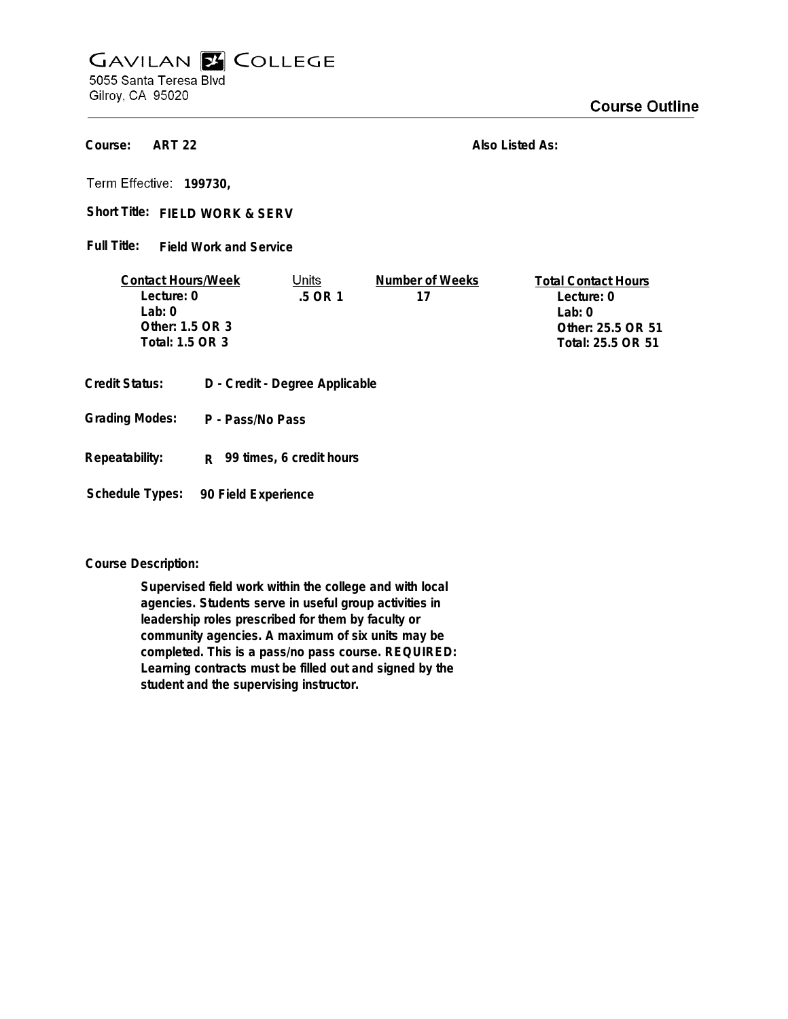## **GAVILAN E COLLEGE** 5055 Santa Teresa Blvd

Gilroy, CA 95020

## **Course Outline**

**ART 22 Course:**

**Also Listed As:**

**199730,**

Short Title: FIELD WORK & SERV

**Field Work and Service Full Title:**

| <b>Contact Hours/Week</b> | Units     | Number of Weeks | <b>Total Contact Hours</b> |
|---------------------------|-----------|-----------------|----------------------------|
| Lecture: 0                | $.5$ OR 1 |                 | Lecture: 0                 |
| $1$ ab: $0$               |           |                 | l ab: 0                    |
| Other: 1.5 OR 3           |           |                 | Other: 25.5 OR 51          |
| Total: 1.5 OR 3           |           |                 | Total: 25.5 OR 51          |
|                           |           |                 |                            |

- **Credit Status: D Credit Degree Applicable**
- **P Pass/No Pass Grading Modes:**
- **Repeatability: R 99 times, 6 credit hours**

**Schedule Types: 90 Field Experience**

**Course Description:**

**Supervised field work within the college and with local agencies. Students serve in useful group activities in leadership roles prescribed for them by faculty or community agencies. A maximum of six units may be completed. This is a pass/no pass course. REQUIRED: Learning contracts must be filled out and signed by the student and the supervising instructor.**